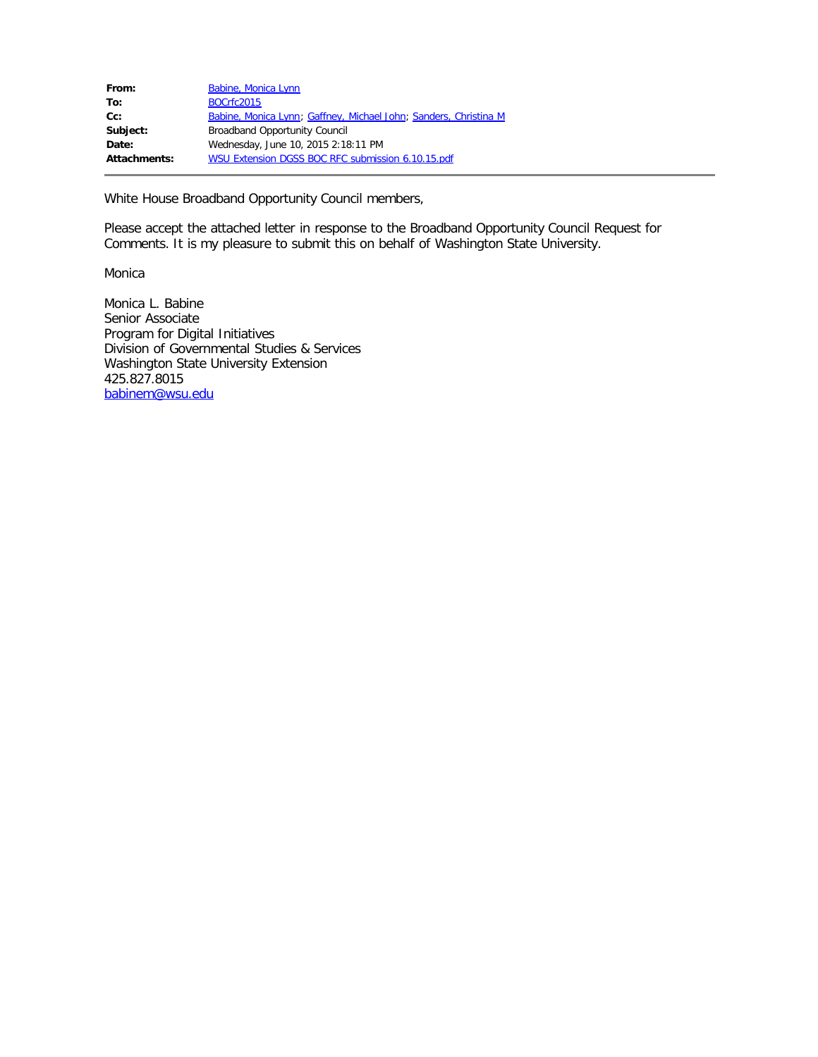| From:        | Babine, Monica Lynn                                              |
|--------------|------------------------------------------------------------------|
| To:          | <b>BOCrfc2015</b>                                                |
| $Cc$ :       | Babine, Monica Lynn; Gaffney, Michael John; Sanders, Christina M |
| Subject:     | <b>Broadband Opportunity Council</b>                             |
| Date:        | Wednesday, June 10, 2015 2:18:11 PM                              |
| Attachments: | WSU Extension DGSS BOC RFC submission 6.10.15.pdf                |
|              |                                                                  |

White House Broadband Opportunity Council members,

Please accept the attached letter in response to the Broadband Opportunity Council Request for Comments. It is my pleasure to submit this on behalf of Washington State University.

Monica

Monica L. Babine Senior Associate Program for Digital Initiatives Division of Governmental Studies & Services Washington State University Extension 425.827.8015 [babinem@wsu.edu](mailto:babinem@wsu.edu)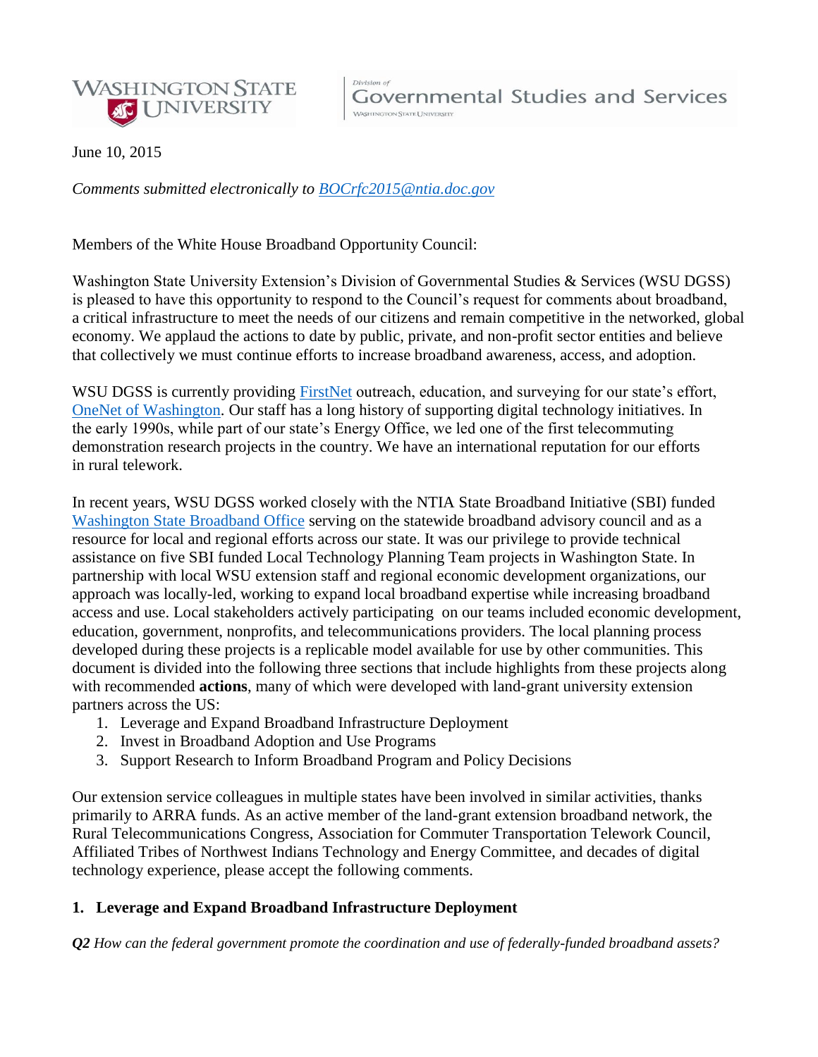

June 10, 2015

*Comments submitted electronically to [BOCrfc2015@ntia.doc.gov](mailto:BOCrfc2015@ntia.doc.gov)*

Members of the White House Broadband Opportunity Council:

Washington State University Extension's Division of Governmental Studies & Services (WSU DGSS) is pleased to have this opportunity to respond to the Council's request for comments about broadband, a critical infrastructure to meet the needs of our citizens and remain competitive in the networked, global economy. We applaud the actions to date by public, private, and non-profit sector entities and believe that collectively we must continue efforts to increase broadband awareness, access, and adoption.

WSU DGSS is currently providing [FirstNet](http://www.firstnet.gov/) outreach, education, and surveying for our state's effort, [OneNet of Washington.](https://ocio.wa.gov/initiatives/washington-onenet-firstnet/firstnet-and-onenet) Our staff has a long history of supporting digital technology initiatives. In the early 1990s, while part of our state's Energy Office, we led one of the first telecommuting demonstration research projects in the country. We have an international reputation for our efforts in rural telework.

In recent years, WSU DGSS worked closely with the NTIA State Broadband Initiative (SBI) funded [Washington State Broadband Office](http://www.commerce.wa.gov/Programs/Infrastructure/Broadband/Pages/AboutUs.aspx) serving on the statewide broadband advisory council and as a resource for local and regional efforts across our state. It was our privilege to provide technical assistance on five SBI funded Local Technology Planning Team projects in Washington State. In partnership with local WSU extension staff and regional economic development organizations, our approach was locally-led, working to expand local broadband expertise while increasing broadband access and use. Local stakeholders actively participating on our teams included economic development, education, government, nonprofits, and telecommunications providers. The local planning process developed during these projects is a replicable model available for use by other communities. This document is divided into the following three sections that include highlights from these projects along with recommended **actions**, many of which were developed with land-grant university extension partners across the US:

- 1. Leverage and Expand Broadband Infrastructure Deployment
- 2. Invest in Broadband Adoption and Use Programs
- 3. Support Research to Inform Broadband Program and Policy Decisions

Our extension service colleagues in multiple states have been involved in similar activities, thanks primarily to ARRA funds. As an active member of the land-grant extension broadband network, the Rural Telecommunications Congress, Association for Commuter Transportation Telework Council, Affiliated Tribes of Northwest Indians Technology and Energy Committee, and decades of digital technology experience, please accept the following comments.

## **1. Leverage and Expand Broadband Infrastructure Deployment**

*Q2 How can the federal government promote the coordination and use of federally-funded broadband assets?*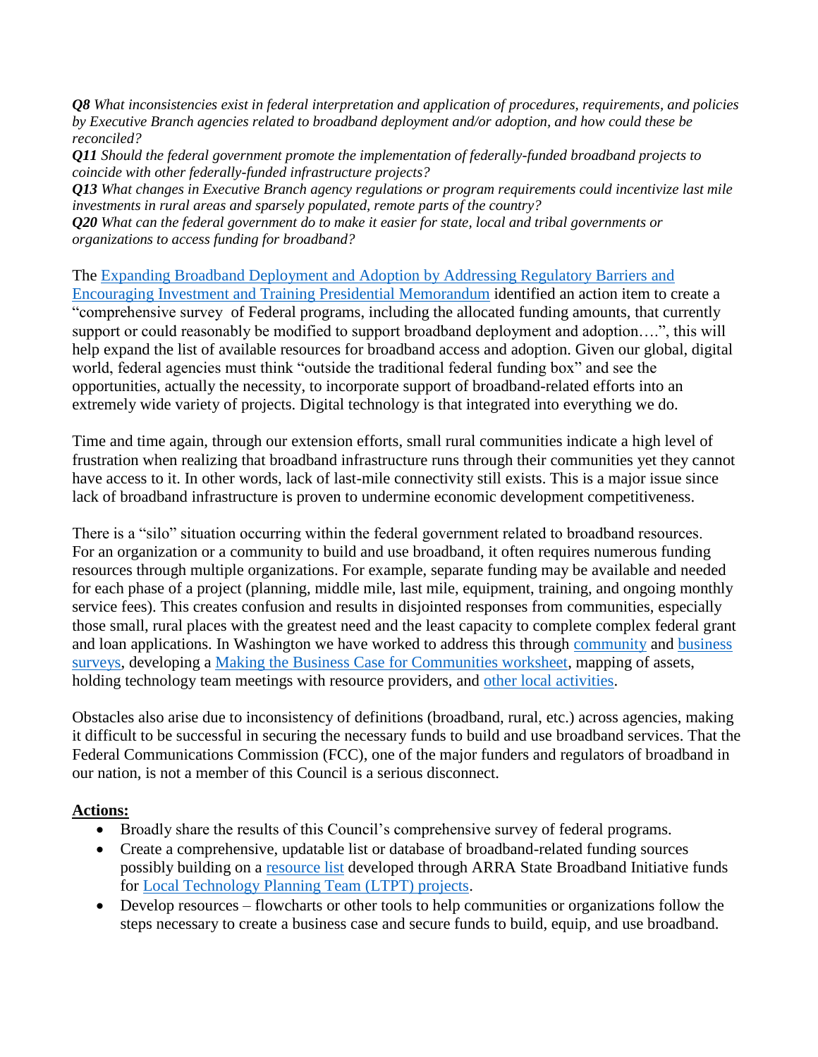*Q8 What inconsistencies exist in federal interpretation and application of procedures, requirements, and policies by Executive Branch agencies related to broadband deployment and/or adoption, and how could these be reconciled?* 

*Q11 Should the federal government promote the implementation of federally-funded broadband projects to coincide with other federally-funded infrastructure projects?* 

*Q13 What changes in Executive Branch agency regulations or program requirements could incentivize last mile investments in rural areas and sparsely populated, remote parts of the country?*

*Q20 What can the federal government do to make it easier for state, local and tribal governments or organizations to access funding for broadband?*

The [Expanding Broadband Deployment and Adoption by Addressing Regulatory Barriers and](https://urldefense.proofpoint.com/v1/url?u=https://www.whitehouse.gov/the-press-office/2015/03/23/presidential-memorandum-expanding-broadband-deployment-and-adoption-addr&k=EWEYHnIvm0nsSxnW5y9VIw%3D%3D%0A&r=LmVf7MnKGqc9V0pYF89uoA%3D%3D%0A&m=xuWCyMOHMqRjio%2BFNiJDc%2B4QHjtO8S0%2F9FPmyzw%2BF0w%3D%0A&s=3cfe08a23a3af4ea5cc5a46e53bce3c561d68088d374f19b296031ddca55ceca)  [Encouraging Investment and Training Presidential Memorandum](https://urldefense.proofpoint.com/v1/url?u=https://www.whitehouse.gov/the-press-office/2015/03/23/presidential-memorandum-expanding-broadband-deployment-and-adoption-addr&k=EWEYHnIvm0nsSxnW5y9VIw%3D%3D%0A&r=LmVf7MnKGqc9V0pYF89uoA%3D%3D%0A&m=xuWCyMOHMqRjio%2BFNiJDc%2B4QHjtO8S0%2F9FPmyzw%2BF0w%3D%0A&s=3cfe08a23a3af4ea5cc5a46e53bce3c561d68088d374f19b296031ddca55ceca) identified an action item to create a "comprehensive survey of Federal programs, including the allocated funding amounts, that currently support or could reasonably be modified to support broadband deployment and adoption….", this will help expand the list of available resources for broadband access and adoption. Given our global, digital world, federal agencies must think "outside the traditional federal funding box" and see the opportunities, actually the necessity, to incorporate support of broadband-related efforts into an extremely wide variety of projects. Digital technology is that integrated into everything we do.

Time and time again, through our extension efforts, small rural communities indicate a high level of frustration when realizing that broadband infrastructure runs through their communities yet they cannot have access to it. In other words, lack of last-mile connectivity still exists. This is a major issue since lack of broadband infrastructure is proven to undermine economic development competitiveness.

There is a "silo" situation occurring within the federal government related to broadband resources. For an organization or a community to build and use broadband, it often requires numerous funding resources through multiple organizations. For example, separate funding may be available and needed for each phase of a project (planning, middle mile, last mile, equipment, training, and ongoing monthly service fees). This creates confusion and results in disjointed responses from communities, especially those small, rural places with the greatest need and the least capacity to complete complex federal grant and loan applications. In Washington we have worked to address this through [community](http://gorgebroadband.org/documents/KSLTPTCommunitySurvey.pdf) and [business](http://gorgebroadband.org/documents/KSLTPTBusinessSurvey.pdf)  [surveys,](http://gorgebroadband.org/documents/KSLTPTBusinessSurvey.pdf) developing a [Making the Business Case for Communities worksheet,](http://gorgebroadband.org/documents/KSLTPT%20BroadbandBusinessCase_Worksheet.pdf) mapping of assets, holding technology team meetings with resource providers, and [other local activities.](http://ext100.wsu.edu/jefferson/wsu-jefferson-county-extension/economic-development/broadband-wolpt/)

Obstacles also arise due to inconsistency of definitions (broadband, rural, etc.) across agencies, making it difficult to be successful in securing the necessary funds to build and use broadband services. That the Federal Communications Commission (FCC), one of the major funders and regulators of broadband in our nation, is not a member of this Council is a serious disconnect.

## **Actions:**

- Broadly share the results of this Council's comprehensive survey of federal programs.
- Create a comprehensive, updatable list or database of broadband-related funding sources possibly building on a [resource list](http://gorgebroadband.org/documents/Broadband%20Funding%20Sources%20as%20of%203.1.15.pdf) developed through ARRA State Broadband Initiative funds for [Local Technology Planning Team \(LTPT\) projects.](http://www.commerce.wa.gov/Programs/Infrastructure/Broadband/Pages/LocalTechnologyPlanningTeamGrantProgram.aspx)
- Develop resources flowcharts or other tools to help communities or organizations follow the steps necessary to create a business case and secure funds to build, equip, and use broadband.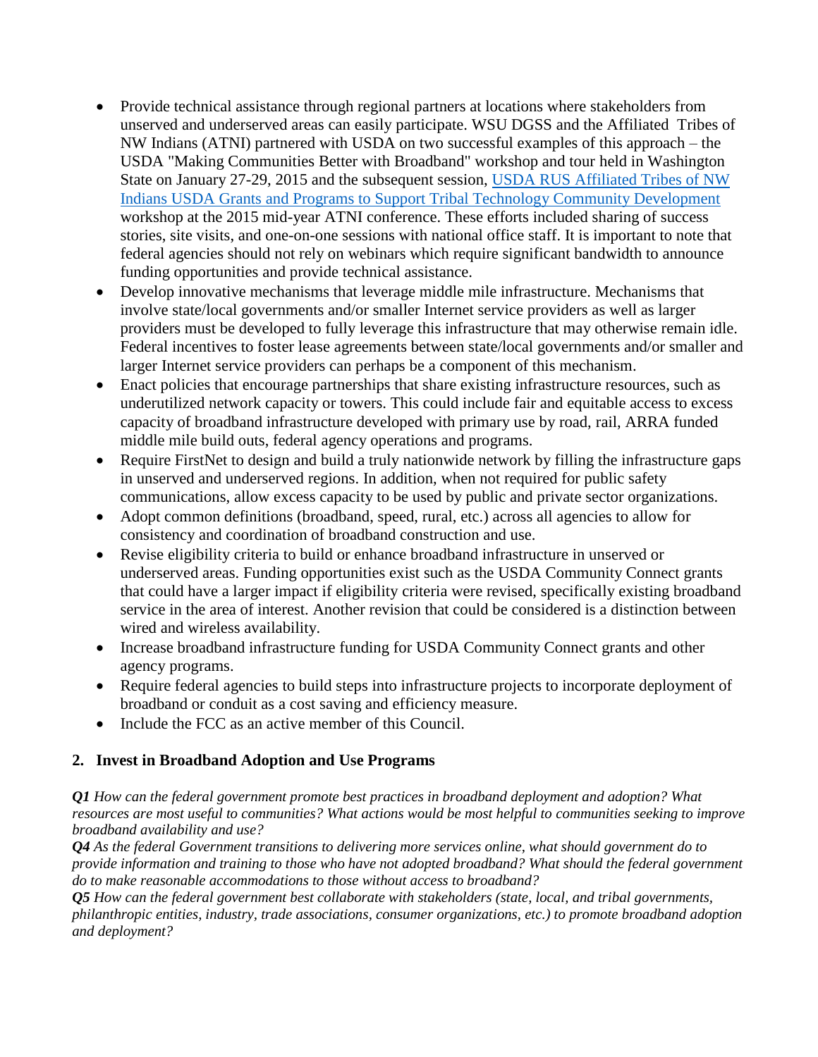- Provide technical assistance through regional partners at locations where stakeholders from unserved and underserved areas can easily participate. WSU DGSS and the Affiliated Tribes of NW Indians (ATNI) partnered with USDA on two successful examples of this approach – the USDA "Making Communities Better with Broadband" workshop and tour held in Washington State on January 27-29, 2015 and the subsequent session, [USDA RUS Affiliated Tribes of NW](http://atnitribes.org/sites/default/files/ATNI.Agenda.MidYear.2015.pdf)  [Indians USDA Grants and Programs to Support Tribal Technology Community Development](http://atnitribes.org/sites/default/files/ATNI.Agenda.MidYear.2015.pdf) workshop at the 2015 mid-year ATNI conference. These efforts included sharing of success stories, site visits, and one-on-one sessions with national office staff. It is important to note that federal agencies should not rely on webinars which require significant bandwidth to announce funding opportunities and provide technical assistance.
- Develop innovative mechanisms that leverage middle mile infrastructure. Mechanisms that involve state/local governments and/or smaller Internet service providers as well as larger providers must be developed to fully leverage this infrastructure that may otherwise remain idle. Federal incentives to foster lease agreements between state/local governments and/or smaller and larger Internet service providers can perhaps be a component of this mechanism.
- Enact policies that encourage partnerships that share existing infrastructure resources, such as underutilized network capacity or towers. This could include fair and equitable access to excess capacity of broadband infrastructure developed with primary use by road, rail, ARRA funded middle mile build outs, federal agency operations and programs.
- Require FirstNet to design and build a truly nationwide network by filling the infrastructure gaps in unserved and underserved regions. In addition, when not required for public safety communications, allow excess capacity to be used by public and private sector organizations.
- Adopt common definitions (broadband, speed, rural, etc.) across all agencies to allow for consistency and coordination of broadband construction and use.
- Revise eligibility criteria to build or enhance broadband infrastructure in unserved or underserved areas. Funding opportunities exist such as the USDA Community Connect grants that could have a larger impact if eligibility criteria were revised, specifically existing broadband service in the area of interest. Another revision that could be considered is a distinction between wired and wireless availability.
- Increase broadband infrastructure funding for USDA Community Connect grants and other agency programs.
- Require federal agencies to build steps into infrastructure projects to incorporate deployment of broadband or conduit as a cost saving and efficiency measure.
- Include the FCC as an active member of this Council.

# **2. Invest in Broadband Adoption and Use Programs**

*Q1 How can the federal government promote best practices in broadband deployment and adoption? What resources are most useful to communities? What actions would be most helpful to communities seeking to improve broadband availability and use?*

*Q4 As the federal Government transitions to delivering more services online, what should government do to provide information and training to those who have not adopted broadband? What should the federal government do to make reasonable accommodations to those without access to broadband?*

*Q5 How can the federal government best collaborate with stakeholders (state, local, and tribal governments, philanthropic entities, industry, trade associations, consumer organizations, etc.) to promote broadband adoption and deployment?*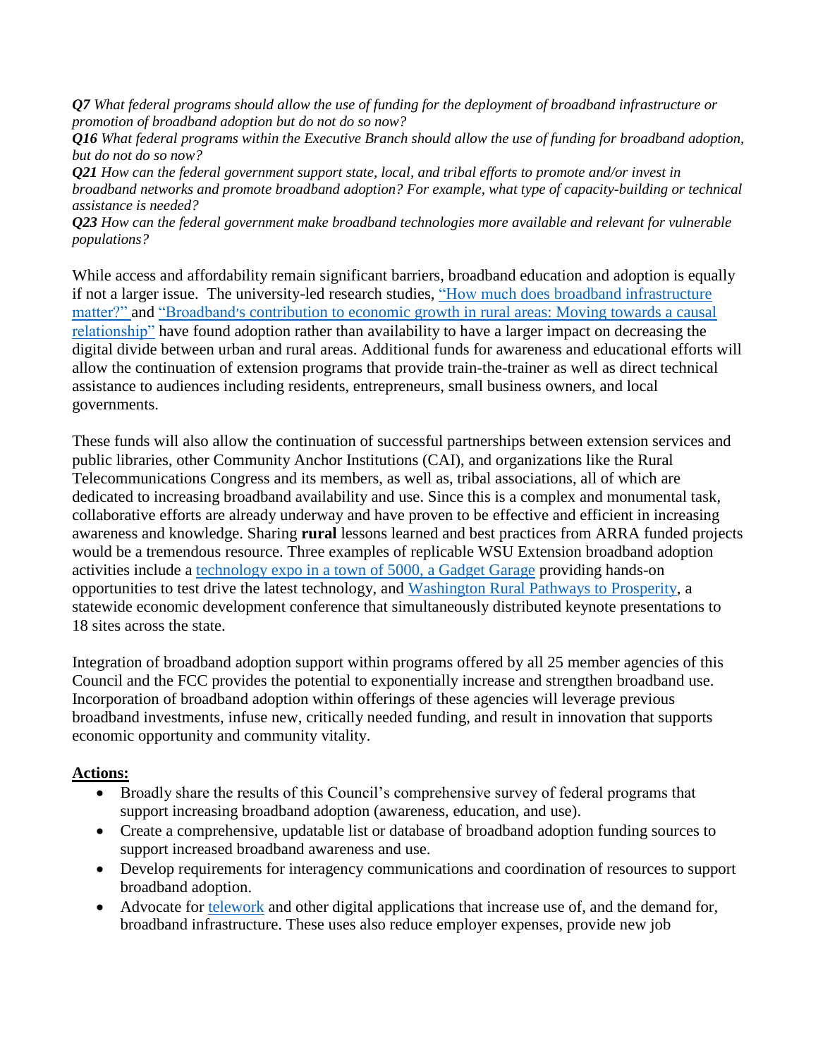*Q7 What federal programs should allow the use of funding for the deployment of broadband infrastructure or promotion of broadband adoption but do not do so now?*

*Q16 What federal programs within the Executive Branch should allow the use of funding for broadband adoption, but do not do so now?*

*Q21 How can the federal government support state, local, and tribal efforts to promote and/or invest in broadband networks and promote broadband adoption? For example, what type of capacity-building or technical assistance is needed?*

*Q23 How can the federal government make broadband technologies more available and relevant for vulnerable populations?*

While access and affordability remain significant barriers, broadband education and adoption is equally if not a larger issue. The university-led research studies, "How much does broadband infrastructure [matter?"](http://www.sciencedirect.com/science/article/pii/S0740624X15000325) and ["Broadband׳s contribution to economic growth in rural areas: Moving towards a causal](http://www.sciencedirect.com/science/article/pii/S0308596114000949)  [relationship"](http://www.sciencedirect.com/science/article/pii/S0308596114000949) have found adoption rather than availability to have a larger impact on decreasing the digital divide between urban and rural areas. Additional funds for awareness and educational efforts will allow the continuation of extension programs that provide train-the-trainer as well as direct technical assistance to audiences including residents, entrepreneurs, small business owners, and local governments.

These funds will also allow the continuation of successful partnerships between extension services and public libraries, other Community Anchor Institutions (CAI), and organizations like the Rural Telecommunications Congress and its members, as well as, tribal associations, all of which are dedicated to increasing broadband availability and use. Since this is a complex and monumental task, collaborative efforts are already underway and have proven to be effective and efficient in increasing awareness and knowledge. Sharing **rural** lessons learned and best practices from ARRA funded projects would be a tremendous resource. Three examples of replicable WSU Extension broadband adoption activities include a [technology expo in a town of 5000, a Gadget Garage](http://ext100.wsu.edu/stevens/past-programs/) providing hands-on opportunities to test drive the latest technology, and [Washington Rural Pathways to Prosperity,](http://waruralprosperity.wsu.edu/) a statewide economic development conference that simultaneously distributed keynote presentations to 18 sites across the state.

Integration of broadband adoption support within programs offered by all 25 member agencies of this Council and the FCC provides the potential to exponentially increase and strengthen broadband use. Incorporation of broadband adoption within offerings of these agencies will leverage previous broadband investments, infuse new, critically needed funding, and result in innovation that supports economic opportunity and community vitality.

## **Actions:**

- Broadly share the results of this Council's comprehensive survey of federal programs that support increasing broadband adoption (awareness, education, and use).
- Create a comprehensive, updatable list or database of broadband adoption funding sources to support increased broadband awareness and use.
- Develop requirements for interagency communications and coordination of resources to support broadband adoption.
- Advocate for [telework](http://dgss.wsu.edu/di/projects/telenetwork-history.html) and other digital applications that increase use of, and the demand for, broadband infrastructure. These uses also reduce employer expenses, provide new job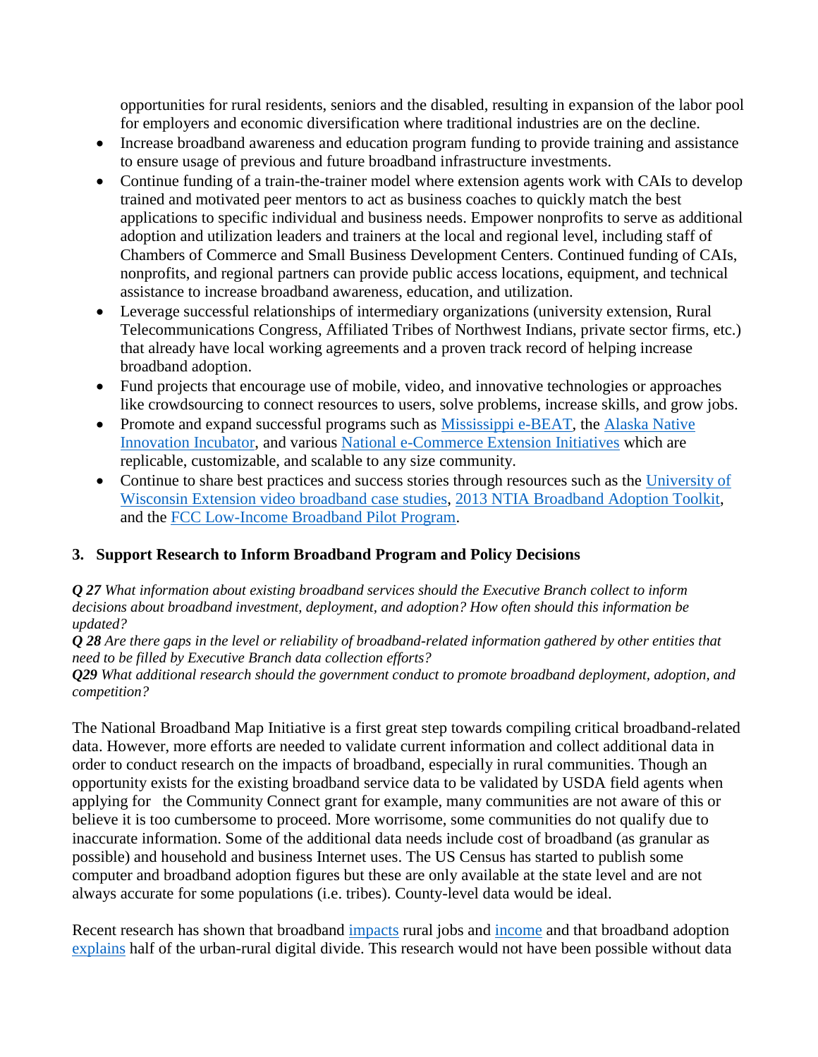opportunities for rural residents, seniors and the disabled, resulting in expansion of the labor pool for employers and economic diversification where traditional industries are on the decline.

- Increase broadband awareness and education program funding to provide training and assistance to ensure usage of previous and future broadband infrastructure investments.
- Continue funding of a train-the-trainer model where extension agents work with CAIs to develop trained and motivated peer mentors to act as business coaches to quickly match the best applications to specific individual and business needs. Empower nonprofits to serve as additional adoption and utilization leaders and trainers at the local and regional level, including staff of Chambers of Commerce and Small Business Development Centers. Continued funding of CAIs, nonprofits, and regional partners can provide public access locations, equipment, and technical assistance to increase broadband awareness, education, and utilization.
- Leverage successful relationships of intermediary organizations (university extension, Rural Telecommunications Congress, Affiliated Tribes of Northwest Indians, private sector firms, etc.) that already have local working agreements and a proven track record of helping increase broadband adoption.
- Fund projects that encourage use of mobile, video, and innovative technologies or approaches like crowdsourcing to connect resources to users, solve problems, increase skills, and grow jobs.
- Promote and expand successful programs such as [Mississippi e-BEAT,](http://srdc.msstate.edu/ebeat/about.html) the Alaska Native [Innovation Incubator,](http://lone-eagles.com/incubator.htm) and various [National e-Commerce Extension Initiatives](http://srdc.msstate.edu/ecommerce/enews/37_10sept.html) which are replicable, customizable, and scalable to any size community.
- Continue to share best practices and success stories through resources such as the University of [Wisconsin Extension video broadband case studies,](https://www.youtube.com/playlist?list=PLjPUBxi_Dgvtz5BarDQjZJN1lCKBzN8Fv) [2013 NTIA Broadband Adoption Toolkit,](http://www2.ntia.doc.gov/files/toolkit_042913.pdf) and the [FCC Low-Income Broadband Pilot Program.](https://www.fcc.gov/encyclopedia/low-income-broadband-pilot-program)

# **3. Support Research to Inform Broadband Program and Policy Decisions**

*Q 27 What information about existing broadband services should the Executive Branch collect to inform decisions about broadband investment, deployment, and adoption? How often should this information be updated?*

*Q 28 Are there gaps in the level or reliability of broadband-related information gathered by other entities that need to be filled by Executive Branch data collection efforts?*

*Q29 What additional research should the government conduct to promote broadband deployment, adoption, and competition?*

The National Broadband Map Initiative is a first great step towards compiling critical broadband-related data. However, more efforts are needed to validate current information and collect additional data in order to conduct research on the impacts of broadband, especially in rural communities. Though an opportunity exists for the existing broadband service data to be validated by USDA field agents when applying for the Community Connect grant for example, many communities are not aware of this or believe it is too cumbersome to proceed. More worrisome, some communities do not qualify due to inaccurate information. Some of the additional data needs include cost of broadband (as granular as possible) and household and business Internet uses. The US Census has started to publish some computer and broadband adoption figures but these are only available at the state level and are not always accurate for some populations (i.e. tribes). County-level data would be ideal.

Recent research has shown that broadband [impacts](http://link.springer.com/article/10.1007/s00168-014-0637-x) rural jobs and [income](http://www.sciencedirect.com/science/article/pii/S0740624X15000325) and that broadband adoption [explains](http://www.sciencedirect.com/science/article/pii/S0308596114000949) half of the urban-rural digital divide. This research would not have been possible without data